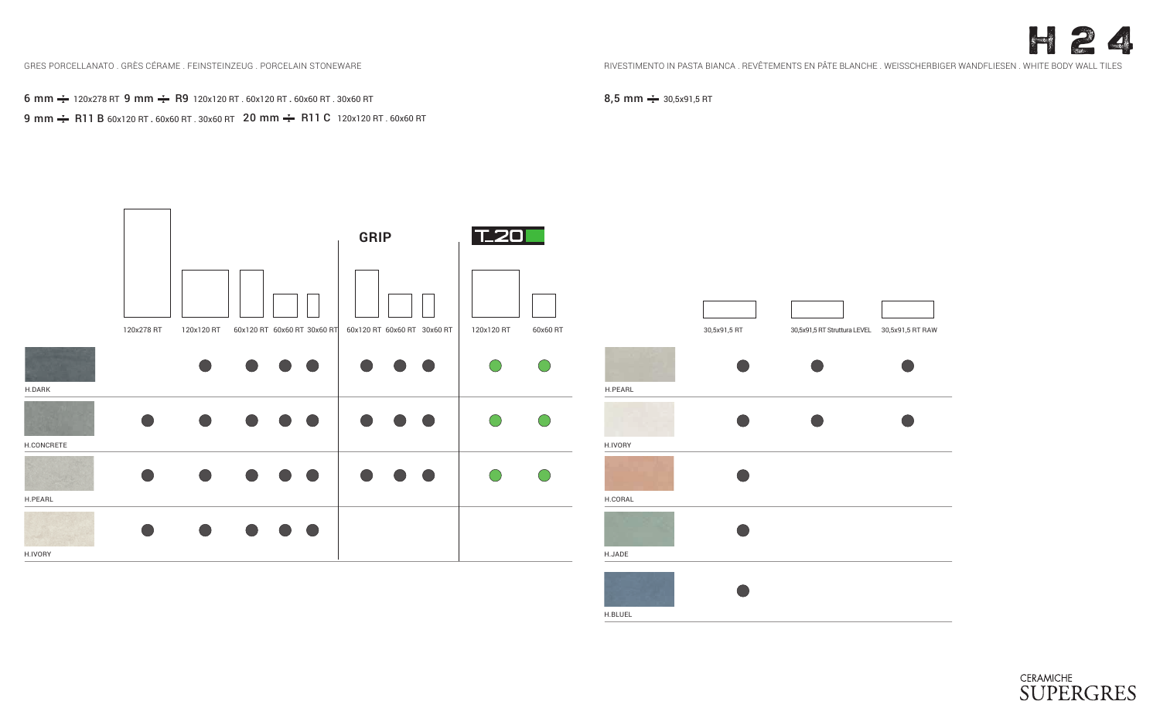



H.BLUEL





RIVESTIMENTO IN PASTA BIANCA . REVÊTEMENTS EN PÂTE BLANCHE . WEISSCHERBIGER WANDFLIESEN . WHITE BODY WALL TILES



**6 mm**  $\div$  120x278 RT  $\,$  **9 mm**  $\div$  **R9** 120x120 RT . 60x120 RT . 60x60 RT . 30x60 RT 9 mm  $\div$  R11 B 60x120 RT . 60x60 RT . 30x60 RT 20 mm  $\div$  R11 C 120x120 RT . 60x60 RT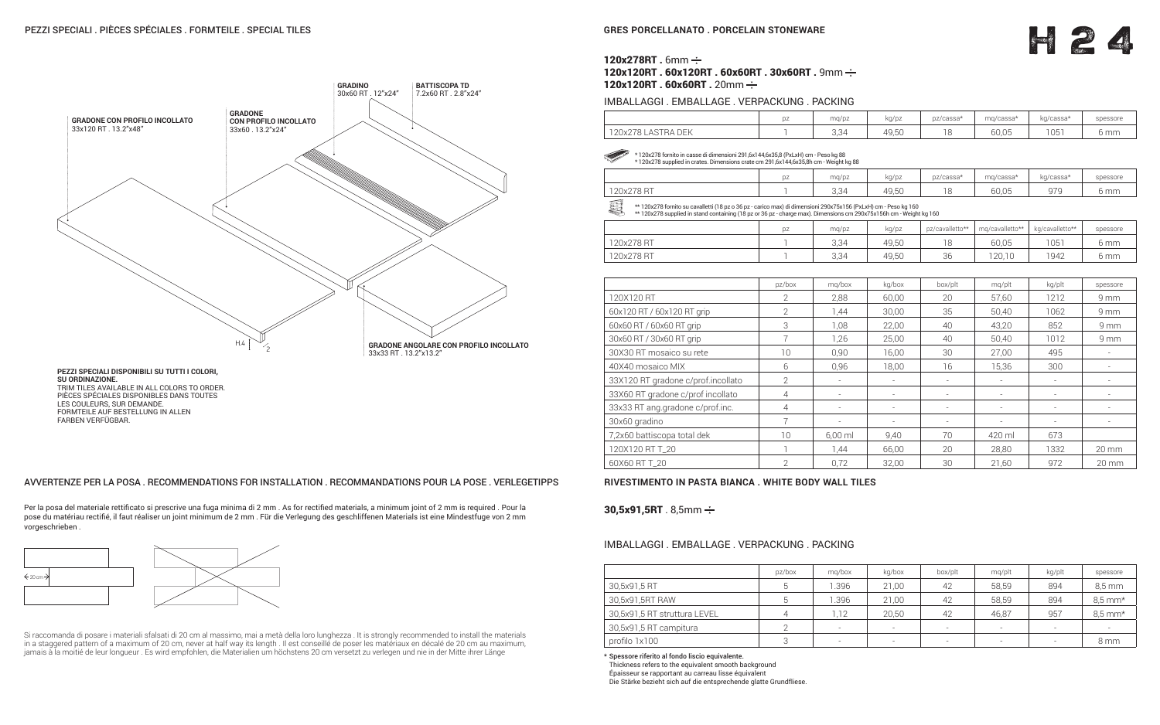

# **RIVESTIMENTO IN PASTA BIANCA . WHITE BODY WALL TILES**

# 30,5x91,5RT . 8,5mm  $\div$

|                              | pz/box | mg/box                   | kg/box                   | box/plt                  | mg/plt | kg/plt                   | spessore  |
|------------------------------|--------|--------------------------|--------------------------|--------------------------|--------|--------------------------|-----------|
| 30,5x91,5 RT                 | đ      | .396                     | 21,00                    | 42                       | 58,59  | 894                      | 8,5 mm    |
| 30,5x91,5RT RAW              |        | .396                     | 21,00                    | 42                       | 58,59  | 894                      | $8,5$ mm* |
| 30,5x91,5 RT struttura LEVEL |        | 1,12                     | 20,50                    | 42                       | 46,87  | 957                      | $8,5$ mm* |
| 30,5x91,5 RT campitura       |        | $\overline{\phantom{a}}$ | $\overline{\phantom{0}}$ | $\overline{\phantom{a}}$ | -      | $\sim$                   |           |
| profilo 1x100                |        | $\overline{\phantom{a}}$ | $\overline{\phantom{0}}$ | $\overline{\phantom{a}}$ | $\sim$ | $\overline{\phantom{a}}$ | 8 mm      |

\* Spessore riferito al fondo liscio equivalente. Thickness refers to the equivalent smooth background Épaisseur se rapportant au carreau lisse équivalent Die Stärke bezieht sich auf die entsprechende glatte Grundfliese.

# IMBALLAGGI . EMBALLAGE . VERPACKUNG . PACKING 120x278RT . 6mm  $\div$ 120x120RT.60x120RT.60x60RT.30x60RT.9mm  $\div$ 120x120RT . 60x60RT . 20mm  $\div$

# IMBALLAGGI . EMBALLAGE . VERPACKUNG . PACKING

|                | $\sim$ $-$<br>υZ | mq/pz                          | kg/pz | pz/cassa*   | mg/cassa* | kg/cassa*  | spessore |
|----------------|------------------|--------------------------------|-------|-------------|-----------|------------|----------|
| 120x278<br>$-$ |                  | $\cap$ $\cap$ $\Lambda$<br>ے,ڻ | 49,50 | $\sim$<br>Ō | 60,05     | ∩7∩<br>، ب | mm       |

|                    | $\sim$ $-$<br>◡ | mg/pz                 | kg/pz                       | pz/cassa* | mg/cassa* | kg/cassa*       | spessore |
|--------------------|-----------------|-----------------------|-----------------------------|-----------|-----------|-----------------|----------|
| 120x278 LASTRA DEK |                 | $\cap$ $\cap$<br>⊿ن,ڻ | $\sim$<br>49,5 <sub>U</sub> | $\sim$    | 60,05     | $\bigcap$<br>UU | mm       |

|            | DZ | mg/pz | kg/pz | pz/cavalletto** | mq/cavalletto** | kg/cavalletto** | spessore |
|------------|----|-------|-------|-----------------|-----------------|-----------------|----------|
| 120x278 RT |    | 3,34  | 49,50 | 18              | 60,05           | 1051            | 6 mm     |
| 120x278 RT |    | 3,34  | 49,50 | 36              | 120,10          | 1942            | 6 mm     |

|                                    | pz/box         | mg/box                   | kg/box                   | box/plt                  | mq/plt | kg/plt | spessore          |
|------------------------------------|----------------|--------------------------|--------------------------|--------------------------|--------|--------|-------------------|
| 120X120 RT                         | $\overline{2}$ | 2,88                     | 60,00                    | 20                       | 57,60  | 1212   | 9mm               |
| 60x120 RT / 60x120 RT grip         | 2              | 1,44                     | 30,00                    | 35                       | 50,40  | 1062   | $9 \,\mathrm{mm}$ |
| 60x60 RT / 60x60 RT grip           | 3              | 1,08                     | 22,00                    | 40                       | 43,20  | 852    | 9mm               |
| 30x60 RT / 30x60 RT grip           |                | 1,26                     | 25,00                    | 40                       | 50,40  | 1012   | 9mm               |
| 30X30 RT mosaico su rete           | 10             | 0,90                     | 16,00                    | 30                       | 27,00  | 495    |                   |
| 40X40 mosaico MIX                  | 6              | 0,96                     | 18,00                    | 16                       | 15,36  | 300    |                   |
| 33X120 RT gradone c/prof.incollato | $\overline{2}$ | $\overline{\phantom{a}}$ | $\sim$                   | $\overline{\phantom{a}}$ |        | $\sim$ |                   |
| 33X60 RT gradone c/prof incollato  | 4              | $\overline{\phantom{a}}$ | $\overline{\phantom{a}}$ | $\overline{\phantom{a}}$ |        | $\sim$ |                   |
| 33x33 RT ang.gradone c/prof.inc.   | 4              | $\overline{\phantom{a}}$ | ۰                        | $\overline{\phantom{a}}$ |        | ۰      |                   |
| 30x60 gradino                      |                | $\overline{\phantom{a}}$ | ۰                        |                          |        | ۰      |                   |
| 7,2x60 battiscopa total dek        | 10             | 6,00 ml                  | 9,40                     | 70                       | 420 ml | 673    |                   |
| 120X120 RT T_20                    |                | 1,44                     | 66,00                    | 20                       | 28,80  | 1332   | $20 \, \text{mm}$ |
| 60X60 RT T_20                      | $\overline{2}$ | 0,72                     | 32,00                    | 30                       | 21,60  | 972    | $20 \, \text{mm}$ |

|                                                                                                                                                                                                                                             | μZ                                                                                   | HUU/L | NY/P4 | μz   |  |  |  |  |  |
|---------------------------------------------------------------------------------------------------------------------------------------------------------------------------------------------------------------------------------------------|--------------------------------------------------------------------------------------|-------|-------|------|--|--|--|--|--|
| 120x278 LASTRA DEK                                                                                                                                                                                                                          |                                                                                      | 3.34  | 49,50 |      |  |  |  |  |  |
| *120x278 fornito in casse di dimensioni 291,6x144,6x35,8 (PxLxH) cm - Peso kg 88                                                                                                                                                            | *120x278 supplied in crates. Dimensions crate cm 291,6x144,6x35,8h cm - Weight kg 88 |       |       |      |  |  |  |  |  |
|                                                                                                                                                                                                                                             | pz                                                                                   | mq/pz | kg/pz | pz   |  |  |  |  |  |
| 120x278 RT                                                                                                                                                                                                                                  |                                                                                      | 3.34  | 49,50 |      |  |  |  |  |  |
| ■<br>** 120x278 fornito su cavalletti (18 pz o 36 pz - carico max) di dimensioni 290x75x156 (PxLxH) cm - Peso kg 160<br>** 120x278 supplied in stand containing (18 pz or 36 pz - charge max). Dimensions cm 290x75x156h cm - Weight kg 160 |                                                                                      |       |       |      |  |  |  |  |  |
|                                                                                                                                                                                                                                             | pz                                                                                   | mq/pz | kg/pz | pz/c |  |  |  |  |  |
| 120x278 RT                                                                                                                                                                                                                                  |                                                                                      | 3,34  | 49,50 |      |  |  |  |  |  |
| 120x278 RT                                                                                                                                                                                                                                  |                                                                                      | 3.34  | 49.50 |      |  |  |  |  |  |



### AVVERTENZE PER LA POSA . RECOMMENDATIONS FOR INSTALLATION . RECOMMANDATIONS POUR LA POSE . VERLEGETIPPS

Per la posa del materiale rettificato si prescrive una fuga minima di 2 mm . As for rectified materials, a minimum joint of 2 mm is required . Pour la pose du matériau rectifié, il faut réaliser un joint minimum de 2 mm . Für die Verlegung des geschliffenen Materials ist eine Mindestfuge von 2 mm vorgeschrieben .

Si raccomanda di posare i materiali sfalsati di 20 cm al massimo, mai a metà della loro lunghezza . It is strongly recommended to install the materials in a staggered pattern of a maximum of 20 cm, never at half way its length . Il est conseillé de poser les matériaux en décalé de 20 cm au maximum, jamais à la moitié de leur longueur . Es wird empfohlen, die Materialien um höchstens 20 cm versetzt zu verlegen und nie in der Mitte ihrer Länge